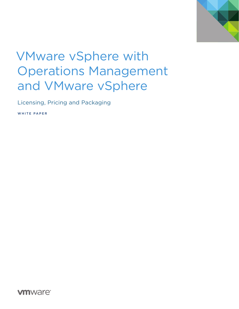

# VMware vSphere with Operations Management and VMware vSphere

Licensing, Pricing and Packaging

WHITE PAPER

**vm**ware<sup>®</sup>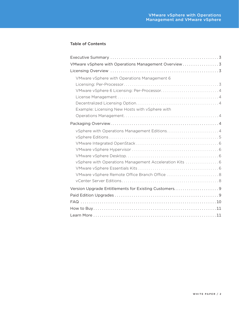# Table of Contents

| VMware vSphere with Operations Management Overview 3 |
|------------------------------------------------------|
|                                                      |
| VMware vSphere with Operations Management 6          |
|                                                      |
|                                                      |
|                                                      |
|                                                      |
| Example: Licensing New Hosts with vSphere with       |
|                                                      |
|                                                      |
| vSphere with Operations Management Editions 4        |
|                                                      |
|                                                      |
|                                                      |
|                                                      |
| vSphere with Operations Management Acceleration Kits |
|                                                      |
|                                                      |
|                                                      |
| Version Upgrade Entitlements for Existing Customers9 |
|                                                      |
|                                                      |
|                                                      |
|                                                      |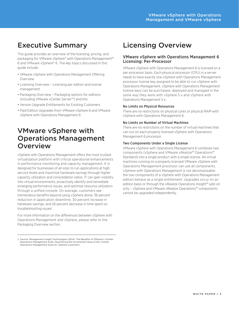# <span id="page-2-0"></span>Executive Summary

This guide provides an overview of the licensing, pricing, and packaging for VMware vSphere® with Operations Management™ 6 and VMware vSphere® 6. The key topics discussed in this guide include:

- VMware vSphere with Operations Management Offering Overview
- Licensing Overview Licensing per edition and license management
- Packaging Overview Packaging options for editions (including VMware vCenter Server™) and kits
- Version Upgrade Entitlements for Existing Customers
- Paid Edition Upgrades from VMware vSphere 6 and VMware vSphere with Operations Management 6

# VMware vSphere with Operations Management **Overview**

vSphere with Operations Management offers the most trusted virtualization platform with critical operational enhancements in performance monitoring and capacity management. It is designed for businesses of all sizes to run applications at high service levels and maximize hardware savings through higher capacity utilization and consolidation ratios. IT can gain visibility into virtual environments, proactively identify and remediate emerging performance issues, and optimize resource utilization through a unified console. On average, customers see tremendous benefits beyond using vSphere alone: 36 percent reduction in application downtime, 30 percent increase in hardware savings, and 26 percent decrease in time spent on troubleshooting issues<sup>1</sup>.

For more information on the differences between vSphere with Operations Management and vSphere, please refer to the Packaging Overview section.

# Licensing Overview

# VMware vSphere with Operations Management 6 Licensing: Per-Processor

VMware vSphere with Operations Management 6 is licensed on a per-processor basis. Each physical processor (CPU) in a server needs to have exactly one vSphere with Operations Management processor license key assigned to be able to run vSphere with Operations Management. vSphere with Operations Management license keys can be purchased, deployed and managed in the same way they were with vSphere 5.x and vSphere with Operations Management 5.x.

### No Limits on Physical Resources

There are no restrictions on physical cores or physical RAM with vSphere with Operations Management 6.

### No Limits on Number of Virtual Machines

There are no restrictions on the number of virtual machines that can run on each properly licensed vSphere with Operations Management 6 processor.

### Two Components Under a Single License

VMware vSphere with Operations Management 6 combines two components (vSphere and VMware vRealize™ Operations™ Standard) into a single product with a single license. All virtual machines running on a properly licensed VMware vSphere with Operations Management processor can use all components. vSphere with Operations Management is not decomposable: the two components of a vSphere with Operations Management edition behave as a single entitlement. Upgrades occur on an edition basis or through the vRealize Operations Insight™ add-on only – vSphere and VMware vRealize Operations™ components cannot be upgraded independently.

<sup>1.</sup> Source: Management Insight Technologies (2014). The Benefits of VMware's vCenter Operations Management Suite: Quantifying the Incremental Value of the vCenter Operations Management Suite for vSphere Customers.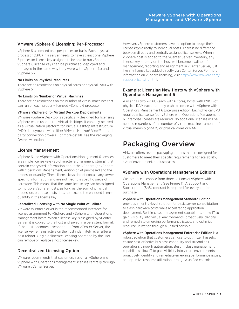# <span id="page-3-0"></span>VMware vSphere 6 Licensing: Per-Processor

vSphere 6 is licensed on a per-processor basis. Each physical processor (CPU) in a server needs to have at least one vSphere 6 processor license key assigned to be able to run vSphere. vSphere 6 license keys can be purchased, deployed and managed in the same way they were with vSphere 4.x and vSphere 5.x.

#### No Limits on Physical Resources

There are no restrictions on physical cores or physical RAM with vSphere 6.

### No Limits on Number of Virtual Machines

There are no restrictions on the number of virtual machines that can run on each properly licensed vSphere 6 processor.

#### VMware vSphere 6 for Virtual Desktop Deployments

VMware vSphere Desktop is specifically designed for licensing vSphere when used to run virtual desktops. It can only be used as a virtualization platform for Virtual Desktop Infrastructure (VDI) deployments with either VMware Horizon® View™ or thirdparty connection brokers. For more details, see the Packaging Overview section.

### License Management

vSphere 6 and vSphere with Operations Management 6 licenses are simple license keys (25-character alphanumeric strings) that contain encrypted information about the vSphere (or vSphere with Operations Management) edition or kit purchased and the processor quantity. These license keys do not contain any serverspecific information and are not tied to a specific piece of hardware. This means that the same license key can be assigned to multiple vSphere hosts, as long as the sum of physical processors on those hosts does not exceed the encoded license quantity in the license key.

#### Centralized Licensing with No Single Point of Failure

VMware vCenter Server is the recommended interface for license assignment to vSphere and vSphere with Operations Management hosts. When a license key is assigned by vCenter Server, it is copied to the host and saved in a persistent format. If the host becomes disconnected from vCenter Server, the license key remains active on the host indefinitely, even after a host reboot. Only a deliberate licensing operation by the user can remove or replace a host license key.

# Decentralized Licensing Option

VMware recommends that customers assign all vSphere and vSphere with Operations Management licenses centrally through VMware vCenter Server.

However, vSphere customers have the option to assign their license keys directly to individual hosts. There is no difference between directly and centrally assigned license keys. When a vSphere host is added to the vCenter Server inventory, any license key already on the host will become available for management, reporting and assignment in vCenter Server, just like any license key added directly via vCenter Server. For more information on vSphere licensing, visit [http://www.vmware.com/](http://www.vmware.com/support/licensing.html) [support/licensing.html.](http://www.vmware.com/support/licensing.html)

### Example: Licensing New Hosts with vSphere with Operations Management 6

A user has two 2-CPU (each with 6 cores) hosts with 128GB of physical RAM each that they wish to license with vSphere with Operations Management 6 Enterprise edition. Each physical CPU requires a license, so four vSphere with Operations Management 6 Enterprise licenses are required. No additional licenses will be needed regardless of the number of virtual machines, amount of virtual memory (vRAM) or physical cores or RAM.

# Packaging Overview

VMware offers several packaging options that are designed for customers to meet their specific requirements for scalability, size of environment, and use cases.

## vSphere with Operations Management Editions

Customers can choose from three editions of vSphere with Operations Management (see Figure 1). A Support and Subscription (SnS) contract is required for every edition purchase.

### vSphere with Operations Management Standard Edition

provides an entry-level solution for basic server consolidation to slash hardware costs while accelerating application deployment. Best in class management capabilities allow IT to gain visibility into virtual environments, proactively identify and remediate emerging performance issues, and optimize resource utilization through a unified console.

vSphere with Operations Management Enterprise Edition is a robust solution that customers can use to optimize IT assets, ensure cost-effective business continuity and streamline IT operations through automation. Best in class management capabilities allow IT to gain visibility into virtual environments, proactively identify and remediate emerging performance issues, and optimize resource utilization through a unified console.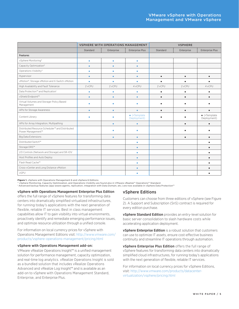<span id="page-4-0"></span>

|                                                                      | <b>VSPHERE WITH OPERATIONS MANAGEMENT</b> |            |                                     | <b>VSPHERE</b> |            |                                     |
|----------------------------------------------------------------------|-------------------------------------------|------------|-------------------------------------|----------------|------------|-------------------------------------|
|                                                                      | Standard                                  | Enterprise | <b>Enterprise Plus</b>              | Standard       | Enterprise | <b>Enterprise Plus</b>              |
| <b>Features</b>                                                      |                                           |            |                                     |                |            |                                     |
| vSphere Monitoring*                                                  | ۰                                         | ٠          | ٠                                   |                |            |                                     |
| Capacity Optimization*                                               | ۵                                         |            |                                     |                |            |                                     |
| Operations Visibility*                                               | ٠                                         | ۰          |                                     |                |            |                                     |
| Hypervisor                                                           | $\bullet$                                 | ۰          | $\bullet$                           | $\bullet$      | $\bullet$  | $\bullet$                           |
| vMotion®, Storage vMotion and X-Switch vMotion                       | ٠                                         | ٠          | ٠                                   |                | $\bullet$  |                                     |
| High Availability and Fault Tolerance                                | 2 vCPU                                    | 2 vCPU     | 4 vCPU                              | 2 vCPU         | 2 vCPU     | 4 vCPU                              |
| Data Protection™ and Replication <sup>1</sup>                        | ۰                                         | ٠          | $\bullet$                           | $\bullet$      | ٠          | ٠                                   |
| vShield Endpoint™                                                    | $\bullet$                                 | $\bullet$  | $\bullet$                           | $\bullet$      | $\bullet$  | $\bullet$                           |
| Virtual Volumes and Storage-Policy Based<br>Management               |                                           |            |                                     |                |            |                                     |
| APIs for Storage Awareness                                           | $\bullet$                                 | ٠          |                                     |                | ٠          |                                     |
| Content Library                                                      | ۰                                         |            | $\bullet$ (+Template<br>Deployment) |                |            | $\bullet$ (+Template<br>Deployment) |
| APIs for Array Integration, Multipathing                             |                                           | ۰          |                                     |                | $\bullet$  | $\bullet$                           |
| Distributed Resource Scheduler™ and Distributed<br>Power Management™ |                                           |            |                                     |                |            |                                     |
| <b>Big Data Extensions</b>                                           |                                           | ٠          |                                     |                | $\bullet$  |                                     |
| Distributed Switch™                                                  |                                           |            |                                     |                |            |                                     |
| Storage DRS™                                                         |                                           |            |                                     |                |            |                                     |
| I/O Controls (Network and Storage) and SR-IOV                        |                                           |            |                                     |                |            |                                     |
| Host Profiles and Auto Deploy                                        |                                           |            | $\bullet$                           |                |            |                                     |
| Flash Read Cache™                                                    |                                           |            | ۰                                   |                |            |                                     |
| Cross-vCenter and Long Distance vMotion                              |                                           |            | $\bullet$                           |                |            | $\bullet$                           |
| vGPU                                                                 |                                           |            |                                     |                |            |                                     |

**Figure 1.** vSphere with Operations Management 6 and vSphere 6 Editions

vSphere Monitoring, Capacity Optimization, and Operations Visibility are found also in VMware vRealize™ Operations™ Standard

1 Advanced backup features (app-aware agents, replication, integration with Data Domain, etc.) are now available in vSphere Data Protection™

#### vSphere with Operations Management Enterprise Plus Edition

offers the full range of vSphere features for transforming data centers into dramatically simplified virtualized infrastructures, for running today's applications with the next generation of flexible, reliable IT services. Best in class management capabilities allow IT to gain visibility into virtual environments, proactively identify and remediate emerging performance issues, and optimize resource utilization through a unified console.

For information on local currency prices for vSphere with Operations Management Editions visit: [http://www.vmware.com/](http://www.vmware.com/products/vsphere-operations-management/pricing.html)  [products/vsphere-operations-management/pricing.html](http://www.vmware.com/products/vsphere-operations-management/pricing.html)

#### vSphere with Operations Management add-on:

VMware vRealize Operations Insight™ is a unified management solution for performance management, capacity optimization, and real-time log analytics. vRealize Operations Insight is sold as a bundled solution that includes vRealize Operations Advanced and vRealize Log Insight™ and is available as an add-on to vSphere with Operations Management Standard, Enterprise, and Enterprise Plus.

#### vSphere Editions

Customers can choose from three editions of vSphere (see Figure 2). A Support and Subscription (SnS) contract is required for every edition purchase.

vSphere Standard Edition provides an entry-level solution for basic server consolidation to slash hardware costs while accelerating application deployment.

**vSphere Enterprise Edition** is a robust solution that customers can use to optimize IT assets, ensure cost-effective business continuity and streamline IT operations through automation.

vSphere Enterprise Plus Edition offers the full range of vSphere features for transforming data centers into dramatically simplified cloud infrastructures, for running today's applications with the next generation of flexible, reliable IT services.

For information on local currency prices for vSphere Editions, visit: [http://www.vmware.com/products/datacenter](http://www.vmware.com/products/vsphere-operations-management/pricing.html)[virtualization/vsphere/pricing.html](http://www.vmware.com/products/vsphere-operations-management/pricing.html)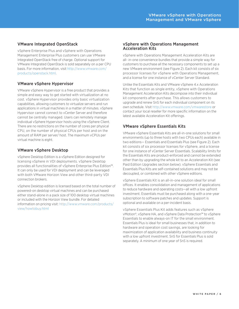# <span id="page-5-0"></span>VMware Integrated OpenStack

vSphere Enterprise Plus and vSphere with Operations Management Enterprise Plus customers can use VMware Integrated OpenStack free of charge. Optional support for VMware Integrated OpenStack is sold separately on a per CPU basis. For more information, visit [http://www.vmware.com/](http://www.vmware.com/products/openstack.html) [products/openstack.html](http://www.vmware.com/products/openstack.html).

# VMware vSphere Hypervisor

VMware vSphere Hypervisor is a free product that provides a simple and easy way to get started with virtualization at no cost. vSphere Hypervisor provides only basic virtualization capabilities, allowing customers to virtualize servers and run applications in virtual machines in a matter of minutes. vSphere Hypervisor cannot connect to vCenter Server and therefore cannot be centrally managed. Users can remotely manage individual vSphere Hypervisor hosts using the vSphere Client. There are no restrictions on the number of cores per physical CPU, on the number of physical CPUs per host and on the amount of RAM per server/ host. The maximum vCPUs per virtual machine is eight.

# VMware vSphere Desktop

vSphere Desktop Edition is a vSphere Edition designed for licensing vSphere in VDI deployments. vSphere Desktop provides all functionalities of vSphere Enterprise Plus Edition™. It can only be used for VDI deployment and can be leveraged with both VMware Horizon View and other third-party VDI connection brokers.

vSphere Desktop edition is licensed based on the total number of powered-on desktop virtual machines and can be purchased either stand-alone in a pack size of 100 desktop virtual machines or included with the Horizon View bundle. For detailed information on pricing visit: [http://www.vmware.com/products/](http://www.vmware.com/products/view/howtobuy.html) [view/howtobuy.html](http://www.vmware.com/products/view/howtobuy.html)

### vSphere with Operations Management Acceleration Kits

vSphere with Operations Management Acceleration Kits are all- in-one convenience bundles that provide a simple way for customers to purchase all the necessary components to set up a new VMware environment (see Figure 2). Each kit consists of six processor licenses for vSphere with Operations Management, and a license for one instance of vCenter Server Standard.

Unlike the Essentials Kits and VMware vSphere 4.x Acceleration Kits that function as single entity, vSphere with Operations Management Acceleration Kits decompose into their individual kit components after purchase. This allows customers to upgrade and renew SnS for each individual component on its own schedule. Visit <http://www.vmware.com/vmwarestore>or contact your local reseller for more specific information on the latest available Acceleration Kit offerings.

# VMware vSphere Essentials Kits

VMware vSphere Essentials Kits are all-in-one solutions for small environments (up to three hosts with two CPUs each) available in two editions— Essentials and Essentials Plus (see Figure 2). Each kit consists of six processor licenses for vSphere, and a license for one instance of vCenter Server Essentials. Scalability limits for the Essentials Kits are product-enforced and cannot be extended other than by upgrading the whole kit to an Acceleration Kit (see Paid Edition Upgrades section below). vSphere Essentials and Essentials Plus Kits are self-contained solutions and may not be decoupled, or combined with other vSphere editions.

vSphere Essentials Kit is an all-in-one solution ideal for small offices. It enables consolidation and management of applications to reduce hardware and operating costs—all with a low upfront investment. Essentials must be purchased along with a one-year subscription to software patches and updates. Support is optional and available on a per-incident basis.

vSphere Essentials Plus Kit adds features such as vSphere vMotion®, vSphere HA, and vSphere Data Protection™ to vSphere Essentials to enable always-on IT for the small environment. Essentials Plus is ideal for small businesses that, in addition to hardware and operation cost savings, are looking for maximization of application availability and business continuity with a low upfront investment. SnS for Essentials Plus is sold separately. A minimum of one year of SnS is required.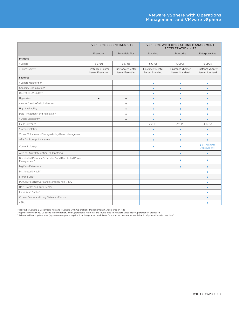|                                                                      | <b>VSPHERE ESSENTIALS KITS</b>                 |                                                | <b>VSPHERE WITH OPERATIONS MANAGEMENT</b><br><b>ACCELERATION KITS</b> |                                       |                                       |
|----------------------------------------------------------------------|------------------------------------------------|------------------------------------------------|-----------------------------------------------------------------------|---------------------------------------|---------------------------------------|
|                                                                      | <b>Essentials</b>                              | <b>Essentials Plus</b>                         | Standard                                                              | Enterprise                            | <b>Enterprise Plus</b>                |
| <b>Includes</b>                                                      |                                                |                                                |                                                                       |                                       |                                       |
| vSphere                                                              | 6 CPUs                                         | 6 CPUs                                         | 6 CPUs                                                                | 6 CPUs                                | 6 CPUs                                |
| vCenter Server                                                       | 1 instance vCenter<br><b>Server Essentials</b> | 1 instance vCenter<br><b>Server Essentials</b> | 1 instance vCenter<br>Server Standard                                 | 1 instance vCenter<br>Server Standard | 1 instance vCenter<br>Server Standard |
| <b>Features</b>                                                      |                                                |                                                |                                                                       |                                       |                                       |
| vSphere Monitoring*                                                  |                                                |                                                | $\bullet$                                                             | $\bullet$                             | $\bullet$                             |
| Capacity Optimization*                                               |                                                |                                                | ٠                                                                     | ٠                                     |                                       |
| Operations Visibility*                                               |                                                |                                                | ۰                                                                     | ۰                                     |                                       |
| Hypervisor                                                           | $\bullet$                                      | $\bullet$                                      |                                                                       |                                       |                                       |
| vMotion® and X-Switch vMotion                                        |                                                | ٠                                              | ۰                                                                     |                                       |                                       |
| High Availability                                                    |                                                | $\bullet$                                      | $\bullet$                                                             | $\bullet$                             | $\bullet$                             |
| Data Protection™ and Replication <sup>1</sup>                        |                                                | ٠                                              | ۰                                                                     | ۰                                     | ۰                                     |
| vShield Endpoint™                                                    |                                                |                                                |                                                                       |                                       |                                       |
| Fault Tolerance                                                      |                                                |                                                | 2 vCPU                                                                | 2 vCPU                                | 4 vCPU                                |
| Storage vMotion                                                      |                                                |                                                | ٠                                                                     | ٠                                     |                                       |
| Virtual Volumes and Storage-Policy Based Management                  |                                                |                                                | ۰                                                                     | ٠                                     |                                       |
| APIs for Storage Awareness                                           |                                                |                                                | $\bullet$                                                             | ٠                                     | ٠                                     |
| Content Library                                                      |                                                |                                                |                                                                       |                                       | $\bullet$ (+Template<br>Deployment)   |
| APIs for Array Integration, Multipathing                             |                                                |                                                |                                                                       | $\bullet$                             |                                       |
| Distributed Resource Scheduler™ and Distributed Power<br>Management™ |                                                |                                                |                                                                       |                                       |                                       |
| <b>Big Data Extensions</b>                                           |                                                |                                                |                                                                       |                                       |                                       |
| Distributed Switch™                                                  |                                                |                                                |                                                                       |                                       |                                       |
| Storage DRS™                                                         |                                                |                                                |                                                                       |                                       |                                       |
| I/O Controls (Network and Storage) and SR-IOV                        |                                                |                                                |                                                                       |                                       |                                       |
| Host Profiles and Auto Deploy                                        |                                                |                                                |                                                                       |                                       | $\bullet$                             |
| Flash Read Cache™                                                    |                                                |                                                |                                                                       |                                       |                                       |
| Cross-vCenter and Long Distance vMotion                              |                                                |                                                |                                                                       |                                       |                                       |
| vGPU                                                                 |                                                |                                                |                                                                       |                                       |                                       |

**Figure 2.** vSphere 6 Essentials Kits and vSphere with Operations Management 6 Acceleration Kits<br>\*vSphere Monitoring, Capacity Optimization, and Operations Visibility are found also in VMware vRealize™ Operations™ Standar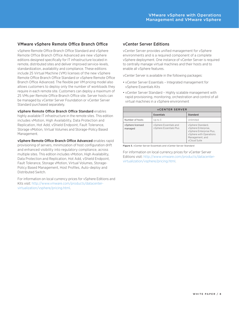# <span id="page-7-0"></span>VMware vSphere Remote Office Branch Office

vSphere Remote Office Branch Office Standard and vSphere Remote Office Branch Office Advanced are new vSphere editions designed specifically for IT infrastructure located in remote, distributed sites and deliver improved service-levels, standardization, availability and compliance. These editions include 25 Virtual Machine (VM) licenses of the new vSphere Remote Office Branch Office Standard or vSphere Remote Office Branch Office Advanced. The flexible per VM pricing model also allows customers to deploy only the number of workloads they require in each remote site. Customers can deploy a maximum of 25 VMs per Remote Office Branch Office site. Server hosts can be managed by vCenter Server Foundation or vCenter Server Standard purchased separately.

vSphere Remote Office Branch Office Standard enables highly available IT infrastructure in the remote sites. This edition includes vMotion, High Availability, Data Protection and Replication, Hot Add, vShield Endpoint, Fault Tolerance, Storage vMotion, Virtual Volumes and Storage-Policy Based Management.

vSphere Remote Office Branch Office Advanced enables rapid provisioning of servers, minimization of host configuration drift and enhanced visibility into regulatory compliance, across multiple sites. This edition includes vMotion, High Availability, Data Protection and Replication, Hot Add, vShield Endpoint, Fault Tolerance, Storage vMotion, Virtual Volumes, Storage-Policy Based Management, Host Profiles, Auto-deploy and Distributed Switch.

For information on local currency prices for vSphere Editions and Kits visit: [http://www.vmware.com/products/datacenter](http://www.vmware.com/products/datacenter-virtualization/vsphere/pricing.html)[virtualization/vsphere/pricing.html.](http://www.vmware.com/products/datacenter-virtualization/vsphere/pricing.html)

# vCenter Server Editions

vCenter Server provides unified management for vSphere environments and is a required component of a complete vSphere deployment. One instance of vCenter Server is required to centrally manage virtual machines and their hosts and to enable all vSphere features.

vCenter Server is available in the following packages:

- vCenter Server Essentials Integrated management for vSphere Essentials Kits
- vCenter Server Standard Highly scalable management with rapid provisioning, monitoring, orchestration and control of all virtual machines in a vSphere environment

| <b>VCENTER SERVER</b>       |                                                   |                                                                                                                                    |  |  |  |
|-----------------------------|---------------------------------------------------|------------------------------------------------------------------------------------------------------------------------------------|--|--|--|
|                             | <b>Essentials</b>                                 | Standard                                                                                                                           |  |  |  |
| Number of hosts             | Up to 3                                           | Unlimited                                                                                                                          |  |  |  |
| vSphere licensed<br>managed | vSphere Essentials and<br>vSphere Essentials Plus | vSphere Standard,<br>vSphere Enterprise,<br>vSphere Enterprise Plus,<br>vSphere with Operations<br>Management, and<br>vCloud Suite |  |  |  |

Figure 3. vCenter Server Essentials and vCenter Server Standard

For information on local currency prices for vCenter Server Editions visit: [http://www.vmware.com/products/datacenter](http://www.vmware.com/products/datacenter-virtualization/vsphere/pricing.html)[virtualization/vsphere/pricing.html.](http://www.vmware.com/products/datacenter-virtualization/vsphere/pricing.html)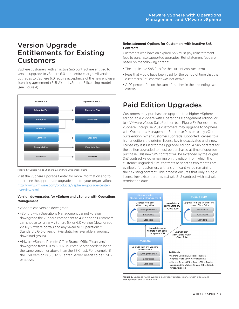# <span id="page-8-0"></span>Version Upgrade Entitlements for Existing Customers

vSphere customers with an active SnS contract are entitled to version upgrade to vSphere 6.0 at no extra charge. All version upgrades to vSphere 6.0 require acceptance of the new end-user licensing agreement (EULA) and vSphere 6 licensing model (see Figure 4).



Figure 4. vSphere 4.x to vSphere 5.x and 6.0 Entitlement Paths

Visit the vSphere Upgrade Center for more information and to determine the appropriate upgrade path for your organization: [http://www.vmware.com/products/vsphere/upgrade-center/](http://www.vmware.com/products/vsphere/upgrade-center/overview.html) [overview.html](http://www.vmware.com/products/vsphere/upgrade-center/overview.html).

### Version downgrades for vSphere and vSphere with Operations Management

- vSphere can version downgrade.
- vSphere with Operations Management cannot version downgrade the vSphere component to 4.x or prior. Customers can choose to run any vSphere 5.x or 6.0 version (downgrade via My VMware portal) and any vRealize™ Operations™ Standard 5.6-6.0 version (via static key available in product download group).
- VMware vSphere Remote Office Branch Office™ can version downgrade from 6.0 to 5.5U2. vCenter Server needs to be at the same version or above than the ESX host. For example, if the ESX version is 5.5U2, vCenter Server needs to be 5.5U2 or above.

### Reinstatement Options for Customers with Inactive SnS **Contracts**

Customers who have an expired SnS must pay reinstatement fees to purchase supported upgrades. Reinstatement fees are based on the following criteria:

- The applicable SnS fees for the current contract term
- Fees that would have been paid for the period of time that the customer's SnS contract was not active
- A 20 percent fee on the sum of the fees in the preceding two criteria

# Paid Edition Upgrades

Customers may purchase an upgrade to a higher vSphere edition, to a vSphere with Operations Management edition, or to a VMware vCloud Suite® edition (see Figure 5). For example, vSphere Enterprise Plus customers may upgrade to vSphere with Operations Management Enterprise Plus or to any vCloud Suite edition. When customers upgrade supported licenses to a higher edition, the original license key is deactivated and a new license key is issued for the upgraded edition. A SnS contract for the edition upgraded to must be purchased at time of upgrade purchase. This new SnS contract will be extended by the original SnS contract value remaining on the edition from which the customer upgraded. SnS contracts as short as two months are available for customers with a significant value remaining in their existing contract. This process ensures that only a single license key exists that has a single SnS contract with a single termination date.



**Figure 5.** Upgrade Paths available between vSphere, vSphere with Operations Management and vCloud Suite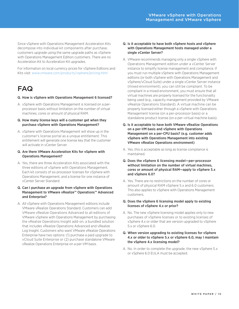<span id="page-9-0"></span>Since vSphere with Operations Management Acceleration Kits decompose into individual kit components after purchase, customers upgrade using the same upgrade paths as vSphere with Operations Management Edition customers. There are no Acceleration Kit to Acceleration Kit upgrades.

For information on local currency prices for vSphere Editions and Kits visit:<www.vmware.com/products/vsphere/pricing.html>

# FAQ

- Q. How is vSphere with Operations Management 6 licensed?
- A. vSphere with Operations Management is licensed on a perprocessor basis without limitation on the number of virtual machines, cores or amount of physical RAM.
- Q. How many license keys will a customer get when they purchase vSphere with Operations Management?
- A. vSphere with Operations Management will show up in the customer's license portal as a unique entitlement. This entitlement will generate one license key that the customer will activate in vCenter Server.
- Q. Are there VMware Acceleration Kits for vSphere with Operations Management?
- A. Yes, there are three Acceleration Kits associated with the three editions of vSphere with Operations Management. Each kit consists of six processor licenses for vSphere with Operations Management, and a license for one instance of vCenter Server Standard.

#### Q. Can I purchase an upgrade from vSphere with Operations Management to VMware vRealize™ Operations™ Advanced and Enterprise?

A. All vSphere with Operations Management editions include VMware vRealize Operations Standard. Customers can add VMware vRealize Operations Advanced to all editions of VMware vSphere with Operations Management by purchasing the vRealize Operations Insight add-on, a bundled solution that includes vRealize Operations Advanced and vRealize Log Insight. Customers who want VMware vRealize Operations Enterprise have two options: (1) purchase a paid upgrade to vCloud Suite Enterprise or (2) purchase standalone VMware vRealize Operations Enterprise on a per-VM basis.

#### Q. Is it acceptable to have both vSphere hosts and vSphere with Operations Management hosts managed under a single vCenter Server?

- A. VMware recommends managing only a single vSphere with Operations Management edition under a vCenter Server instance to simplify license management and compliance. If you must run multiple vSphere with Operations Management editions (or both vSphere with Operations Management and vSphere/vCloud Suite) under a single vCenter Server instance (mixed environment), you can still be compliant. To be compliant in a mixed environment, you must ensure that all virtual machines are properly licensed for the functionality being used (e.g., capacity management provided by VMware vRealize Operations Standard). A virtual machine can be properly licensed either through a vSphere with Operations Management license (on a per-processor basis) or a standalone product license (on a per–virtual machine basis).
- Q. Is it acceptable to have both VMware vRealize Operations on a per-VM basis and vSphere with Operations Management on a per-CPU basis? (e.g. customer adds vSphere with Operations Management into existing VMware vRealize Operations environment)
- A. Yes, this is acceptable as long as license compliance is maintained.
- Q. Does the vSphere 6 licensing model—per-processor without limitation on the number of virtual machines, cores or amount of physical RAM—apply to vSphere 5.x and vSphere 6.0?
- A. Yes. There are no restrictions on the number of cores or amount of physical RAM vSphere 5.x and 6.0 customers. This also applies to vSphere with Operations Management customers.
- Q. Does the vSphere 6 licensing model apply to existing licenses of vSphere 4.x or prior?
- A. No. The new vSphere licensing model applies only to new purchases of vSphere licenses or to existing licenses of vSphere 4.x or older that are version upgraded to vSphere 5.x or vSphere 6.0.

### Q. When version upgrading to existing licenses for vSphere 4.x or older to vSphere 5.x or vSphere 6.0, may I maintain the vSphere 4.x licensing model?

A. No. In order to complete the upgrade, the new vSphere 5.x or vSphere 6.0 EULA must be accepted.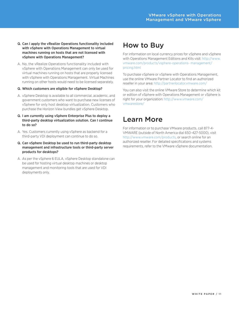- <span id="page-10-0"></span>Q. Can I apply the vRealize Operations functionality included with vSphere with Operations Management to virtual machines running on hosts that are not licensed with vSphere with Operations Management?
- A. No, the vRealize Operations functionality included with vSphere with Operations Management can only be used for virtual machines running on hosts that are properly licensed with vSphere with Operations Management. Virtual Machines running on other hosts would need to be licensed separately.

#### Q. Which customers are eligible for vSphere Desktop?

- A. vSphere Desktop is available to all commercial, academic, and government customers who want to purchase new licenses of vSphere for only host desktop virtualization. Customers who purchase the Horizon View bundles get vSphere Desktop.
- Q. I am currently using vSphere Enterprise Plus to deploy a third-party desktop virtualization solution. Can I continue to do so?
- A. Yes. Customers currently using vSphere as backend for a third-party VDI deployment can continue to do so.
- Q. Can vSphere Desktop be used to run third-party desktop management and infrastructure tools or third-party server products for desktops?
- A. As per the vSphere 6 EULA, vSphere Desktop standalone can be used for hosting virtual desktop machines or desktop management and monitoring tools that are used for VDI deployments only.

# How to Buy

For information on local currency prices for vSphere and vSphere with Operations Management Editions and Kits visit: [http://www.](http://www.vmware.com/products/vsphere-operations-management/pricing.html) [vmware.com/products/vsphere-operations- management/](http://www.vmware.com/products/vsphere-operations-management/pricing.html) [pricing.html](http://www.vmware.com/products/vsphere-operations-management/pricing.html)

To purchase vSphere or vSphere with Operations Management, use the online VMware Partner Locator to find an authorized reseller in your area: <http://partnerlocator.vmware.com/>

You can also visit the online VMware Store to determine which kit or edition of vSphere with Operations Management or vSphere is right for your organization: [http://www.vmware.com/](http://www.vmware.com/vmwarestore/) [vmwarestore/](http://www.vmware.com/vmwarestore/)

# Learn More

For information or to purchase VMware products, call 877-4- VMWARE (outside of North America dial 650-427-5000), visit <http://www.vmware.com/products>, or search online for an authorized reseller. For detailed specifications and systems requirements, refer to the VMware vSphere documentation.